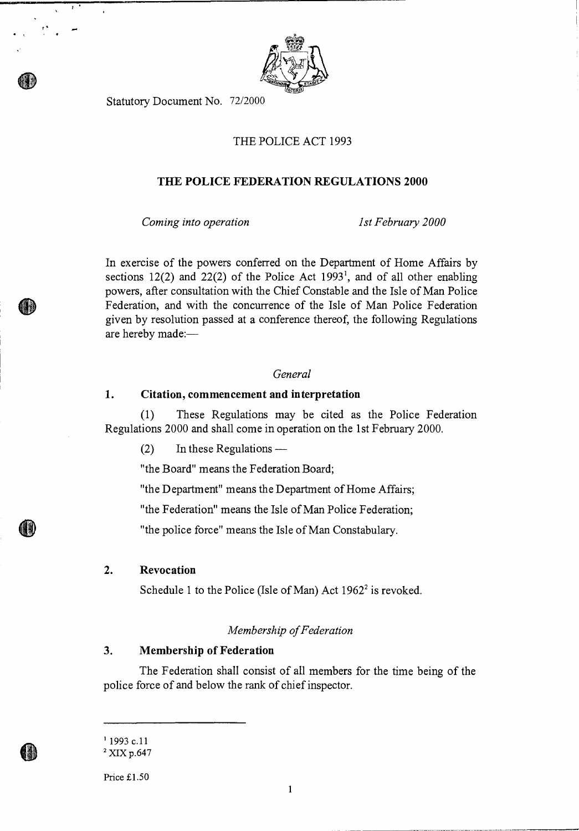

Statutory Document No. 72/2000

# THE POLICE ACT 1993

# **THE POLICE FEDERATION REGULATIONS 2000**

*Coming into operation 1st February 2000* 

In exercise of the powers conferred on the Department of Home Affairs by sections 12(2) and 22(2) of the Police Act  $1993<sup>1</sup>$ , and of all other enabling powers, after consultation with the Chief Constable and the Isle of Man Police Federation, and with the concurrence of the Isle of Man Police Federation given by resolution passed at a conference thereof, the following Regulations are hereby made:—

### *General*

#### **1. Citation, commencement and interpretation**

(1) These Regulations may be cited as the Police Federation Regulations 2000 and shall come in operation on the 1st February 2000.

(2) In these Regulations —

"the Board" means the Federation Board;

"the Department" means the Department of Home Affairs;

"the Federation" means the Isle of Man Police Federation;

"the police force" means the Isle of Man Constabulary.

## **2. Revocation**

Schedule 1 to the Police (Isle of Man) Act  $1962^2$  is revoked.

## *Membership of Federation*

# **3. Membership of Federation**

The Federation shall consist of all members for the time being of the police force of and below the rank of chief inspector.

Price £1.50

 $11993$  c.11

<sup>&</sup>lt;sup>2</sup> XIX p.647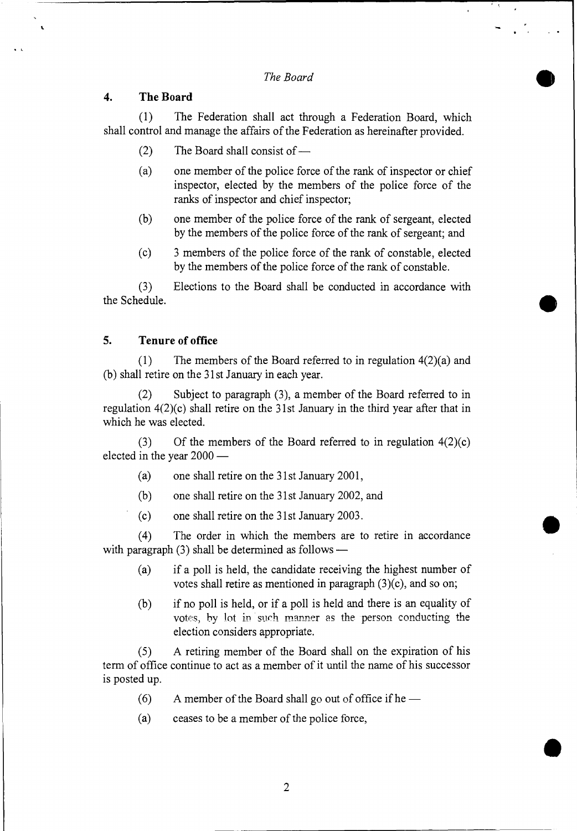*The Board* 

## **4. The Board**

(1) The Federation shall act through a Federation Board, which shall control and manage the affairs of the Federation as hereinafter provided.

- (2) The Board shall consist of —
- (a) one member of the police force of the rank of inspector or chief inspector, elected by the members of the police force of the ranks of inspector and chief inspector;
- (b) one member of the police force of the rank of sergeant, elected by the members of the police force of the rank of sergeant; and
- (c) 3 members of the police force of the rank of constable, elected by the members of the police force of the rank of constable.

(3 ) Elections to the Board shall be conducted in accordance with the Schedule.

## **5. Tenure of office**

(1) The members of the Board referred to in regulation 4(2)(a) and (b) shall retire on the 31st January in each year.

(2) Subject to paragraph (3), a member of the Board referred to in regulation 4(2)(c) shall retire on the 31st January in the third year after that in which he was elected.

(3) Of the members of the Board referred to in regulation  $4(2)(c)$ elected in the year 2000 —

- (a) one shall retire on the 31st January 2001,
- (b) one shall retire on the 31st January 2002, and
- (c) one shall retire on the 31st January 2003.

(4) The order in which the members are to retire in accordance with paragraph (3) shall be determined as follows —

- (a) if a poll is held, the candidate receiving the highest number of votes shall retire as mentioned in paragraph (3)(c), and so on;
- (b) if no poll is held, or if a poll is held and there is an equality of votes, by lot in such manner as the person conducting the election considers appropriate.

(5) A retiring member of the Board shall on the expiration of his term of office continue to act as a member of it until the name of his successor is posted up.

- (6) A member of the Board shall go out of office if he —
- (a) ceases to be a member of the police force,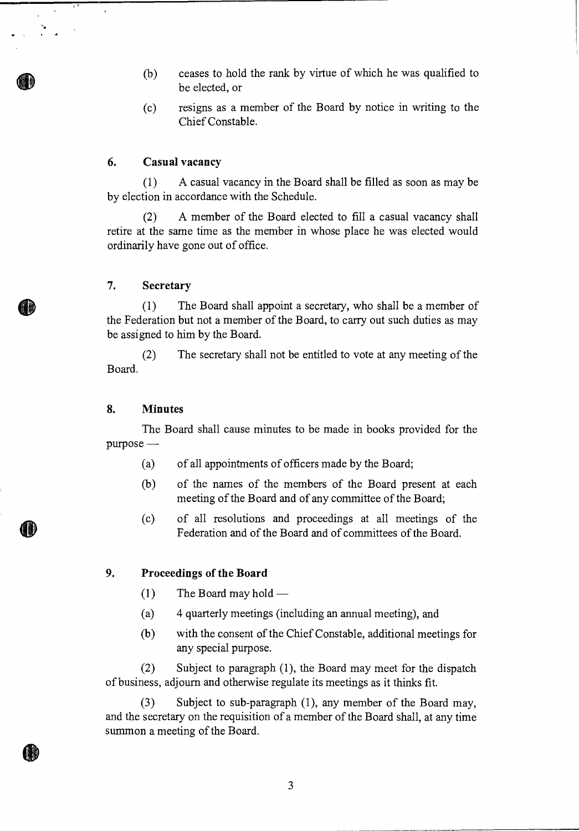- $(b)$ ceases to hold the rank by virtue of which he was qualified to be elected, or
- resigns as a member of the Board by notice in writing to the  $(c)$ Chief Constable.

# **6. Casual vacancy**

(1) A casual vacancy in the Board shall be filled as soon as may be by election in accordance with the Schedule.

(2) A member of the Board elected to fill a casual vacancy shall retire at the same time as the member in whose place he was elected would ordinarily have gone out of office.

## **7. Secretary**

(1) The Board shall appoint a secretary, who shall be a member of the Federation but not a member of the Board, to carry out such duties as may be assigned to him by the Board.

(2) The secretary shall not be entitled to vote at any meeting of the Board.

## **8. Minutes**

The Board shall cause minutes to be made in books provided for the purpose—

- (a) of all appointments of officers made by the Board;
- (b) of the names of the members of the Board present at each meeting of the Board and of any committee of the Board;
- (c) of all resolutions and proceedings at all meetings of the Federation and of the Board and of committees of the Board.

# **9. Proceedings of the Board**

- $(1)$  The Board may hold —
- (a) 4 quarterly meetings (including an annual meeting), and
- (b) with the consent of the Chief Constable, additional meetings for any special purpose.

(2) Subject to paragraph (1), the Board may meet for the dispatch of business, adjourn and otherwise regulate its meetings as it thinks fit.

(3) Subject to sub-paragraph (1), any member of the Board may, and the secretary on the requisition of a member of the Board shall, at any time summon a meeting of the Board.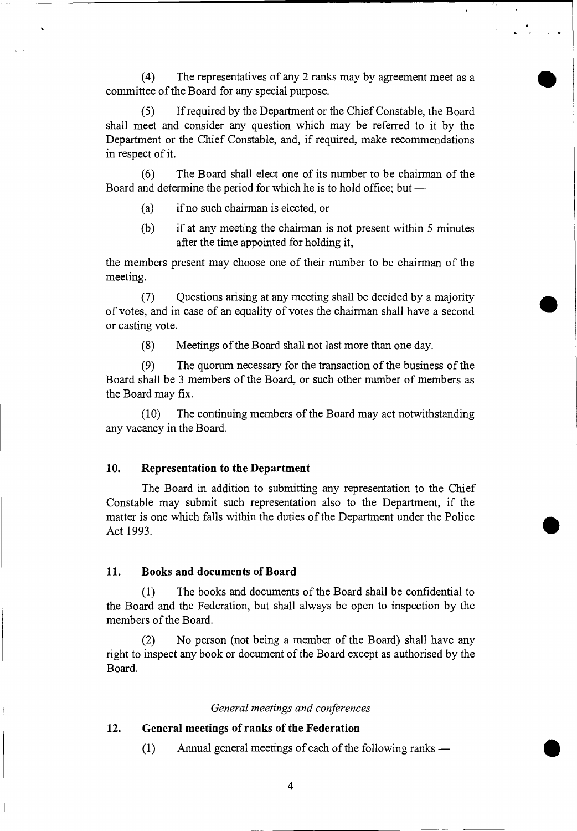committee of the Board for any special purpose. (4) The representatives of any 2 ranks may by agreement meet as a •

(5) If required by the Department or the Chief Constable, the Board shall meet and consider any question which may be referred to it by the Department or the Chief Constable, and, if required, make recommendations in respect of it.

(6) The Board shall elect one of its number to be chairman of the Board and determine the period for which he is to hold office; but —

- (a) if no such chairman is elected, or
- (b) if at any meeting the chairman is not present within 5 minutes after the time appointed for holding it,

•

 $\bar{\mathbf{r}}$ 

•

the members present may choose one of their number to be chairman of the meeting.

(7) Questions arising at any meeting shall be decided by a majority of votes, and in case of an equality of votes the chairman shall have a second or casting vote.

(8) Meetings of the Board shall not last more than one day.

(9) The quorum necessary for the transaction of the business of the Board shall be 3 members of the Board, or such other number of members as the Board may fix.

(10) The continuing members of the Board may act notwithstanding any vacancy in the Board.

## **10. Representation to the Department**

The Board in addition to submitting any representation to the Chief Constable may submit such representation also to the Department, if the matter is one which falls within the duties of the Department under the Police Act 1993.

### **11. Books and documents of Board**

(1) The books and documents of the Board shall be confidential to the Board and the Federation, but shall always be open to inspection by the members of the Board.

(2) No person (not being a member of the Board) shall have any right to inspect any book or document of the Board except as authorised by the Board.

# *General meetings and conferences*

# **12. General meetings of ranks of the Federation**

(1) Annual general meetings of each of the following ranks — •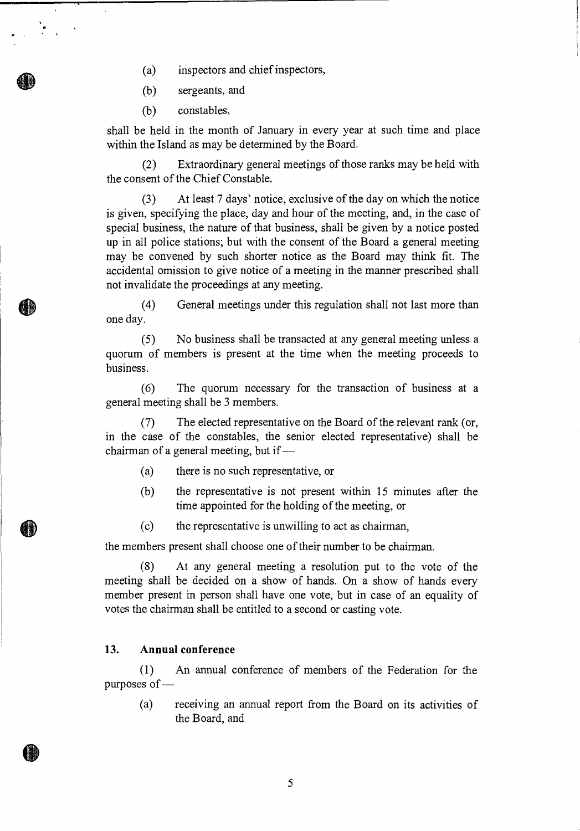(a) inspectors and chief inspectors,

(b) sergeants, and

(b) constables,

 $\mathcal{L} = \frac{1}{2} \sum_{i=1}^{n} \frac{1}{i} \sum_{j=1}^{n} \frac{1}{j}$ 

shall be held in the month of January in every year at such time and place within the Island as may be determined by the Board.

(2) Extraordinary general meetings of those ranks may be held with the consent of the Chief Constable.

(3) At least 7 days' notice, exclusive of the day on which the notice is given, specifying the place, day and hour of the meeting, and, in the case of special business, the nature of that business, shall be given by a notice posted up in all police stations; but with the consent of the Board a general meeting may be convened by such shorter notice as the Board may think fit. The accidental omission to give notice of a meeting in the manner prescribed shall not invalidate the proceedings at any meeting.

(4) General meetings under this regulation shall not last more than one day.

(5) No business shall be transacted at any general meeting unless a quorum of members is present at the time when the meeting proceeds to business.

(6) The quorum necessary for the transaction of business at a general meeting shall be 3 members.

(7) The elected representative on the Board of the relevant rank (or, in the case of the constables, the senior elected representative) shall be chairman of a general meeting, but if —

- (a) there is no such representative, or
- (b) the representative is not present within 15 minutes after the time appointed for the holding of the meeting, or
- (c) the representative is unwilling to act as chairman,

the members present shall choose one of their number to be chairman.

(8) At any general meeting a resolution put to the vote of the meeting shall be decided on a show of hands. On a show of hands every member present in person shall have one vote, but in case of an equality of votes the chairman shall be entitled to a second or casting vote.

# **13. Annual conference**

(1) An annual conference of members of the Federation for the purposes of —

(a) receiving an annual report from the Board on its activities of the Board, and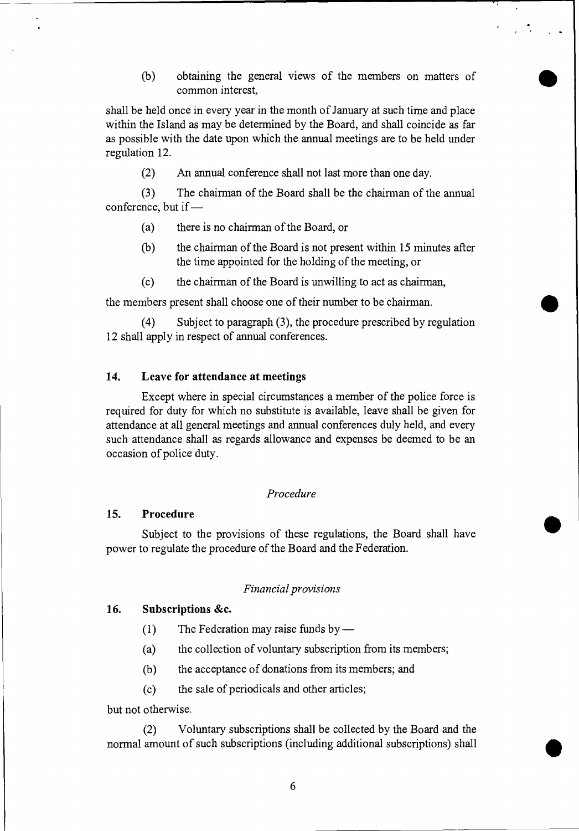(b) • obtaining the general views of the members on matters of common interest,

shall be held once in every year in the month of January at such time and place within the Island as may be determined by the Board, and shall coincide as far as possible with the date upon which the annual meetings are to be held under regulation 12.

(2) An annual conference shall not last more than one day.

(3 ) The chairman of the Board shall be the chairman of the annual conference, but if —

- (a) there is no chairman of the Board, or
- (b) the chairman of the Board is not present within 15 minutes after the time appointed for the holding of the meeting, or
- (c) the chairman of the Board is unwilling to act as chairman,

the members present shall choose one of their number to be chairman.

(4) Subject to paragraph (3), the procedure prescribed by regulation 12 shall apply in respect of annual conferences.

## **14. Leave for attendance at meetings**

Except where in special circumstances a member of the police force is required for duty for which no substitute is available, leave shall be given for attendance at all general meetings and annual conferences duly held, and every such attendance shall as regards allowance and expenses be deemed to be an occasion of police duty.

## *Procedure*

## **15. Procedure**

Subject to the provisions of these regulations, the Board shall have power to regulate the procedure of the Board and the Federation.

#### *Financial provisions*

### **16. Subscriptions &c.**

- **(1)** The Federation may raise funds by —
- (a) the collection of voluntary subscription from its members;
- (b) the acceptance of donations from its members; and
- (c) the sale of periodicals and other articles;

but not otherwise.

(2) Voluntary subscriptions shall be collected by the Board and the normal amount of such subscriptions (including additional subscriptions) shall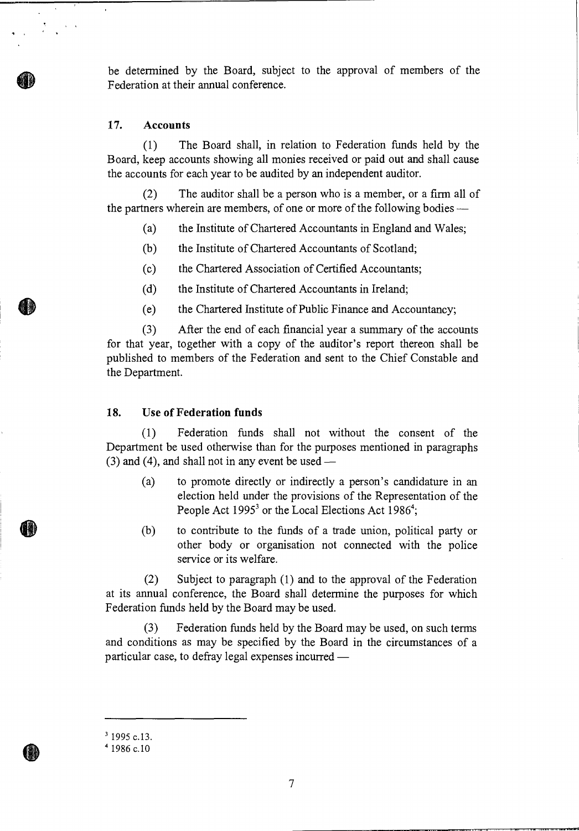be determined by the Board, subject to the approval of members of the Federation at their annual conference.

#### **17. Accounts**

(1) The Board shall, in relation to Federation funds held by the Board, keep accounts showing all monies received or paid out and shall cause the accounts for each year to be audited by an independent auditor.

(2) The auditor shall be a person who is a member, or a firm all of the partners wherein are members, of one or more of the following bodies—

- (a) the Institute of Chartered Accountants in England and Wales;
- (b) the Institute of Chartered Accountants of Scotland;
- (c) the Chartered Association of Certified Accountants;
- (d) the Institute of Chartered Accountants in Ireland;
- (e) the Chartered Institute of Public Finance and Accountancy;

(3) After the end of each financial year a summary of the accounts for that year, together with a copy of the auditor's report thereon shall be published to members of the Federation and sent to the Chief Constable and the Department.

### **18. Use of Federation funds**

(1) Federation funds shall not without the consent of the Department be used otherwise than for the purposes mentioned in paragraphs (3) and (4), and shall not in any event be used —

- (a) to promote directly or indirectly a person's candidature in an election held under the provisions of the Representation of the People Act 1995<sup>3</sup> or the Local Elections Act 1986<sup>4</sup>;
- (b) to contribute to the funds of a trade union, political party or other body or organisation not connected with the police service or its welfare.

(2) Subject to paragraph (1) and to the approval of the Federation at its annual conference, the Board shall determine the purposes for which Federation funds held by the Board may be used.

(3) Federation funds held by the Board may be used, on such terms and conditions as may be specified by the Board in the circumstances of a particular case, to defray legal expenses incurred —

<sup>&</sup>lt;sup>3</sup> 1995 c.13.

<sup>4</sup>1986 c.10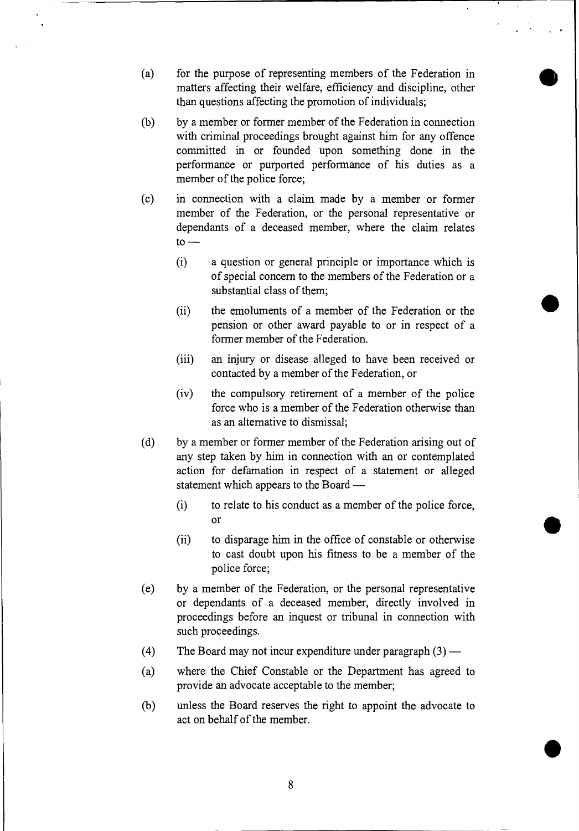- (a) for the purpose of representing members of the Federation in matters affecting their welfare, efficiency and discipline, other than questions affecting the promotion of individuals;
- (b) by a member or former member of the Federation in connection with criminal proceedings brought against him for any offence committed in or founded upon something done in the performance or purported performance of his duties as a member of the police force;
- (c) in connection with a claim made by a member or former member of the Federation, or the personal representative or dependants of a deceased member, where the claim relates  $to -$ 
	- (i) a question or general principle or importance which is of special concern to the members of the Federation or a substantial class of them;
	- (ii) the emoluments of a member of the Federation or the pension or other award payable to or in respect of a former member of the Federation.
	- (iii) an injury or disease alleged to have been received or contacted by a member of the Federation, or
	- (iv) the compulsory retirement of a member of the police force who is a member of the Federation otherwise than as an alternative to dismissal;
- (d) by a member or former member of the Federation arising out of any step taken by him in connection with an or contemplated action for defamation in respect of a statement or alleged statement which appears to the Board —
	- (i) to relate to his conduct as a member of the police force, or
	- (ii) to disparage him in the office of constable or otherwise to cast doubt upon his fitness to be a member of the police force;
- (e) by a member of the Federation, or the personal representative or dependants of a deceased member, directly involved in proceedings before an inquest or tribunal in connection with such proceedings.
- (4) The Board may not incur expenditure under paragraph  $(3)$  —
- (a) where the Chief Constable or the Department has agreed to provide an advocate acceptable to the member;
- (b) unless the Board reserves the right to appoint the advocate to act on behalf of the member.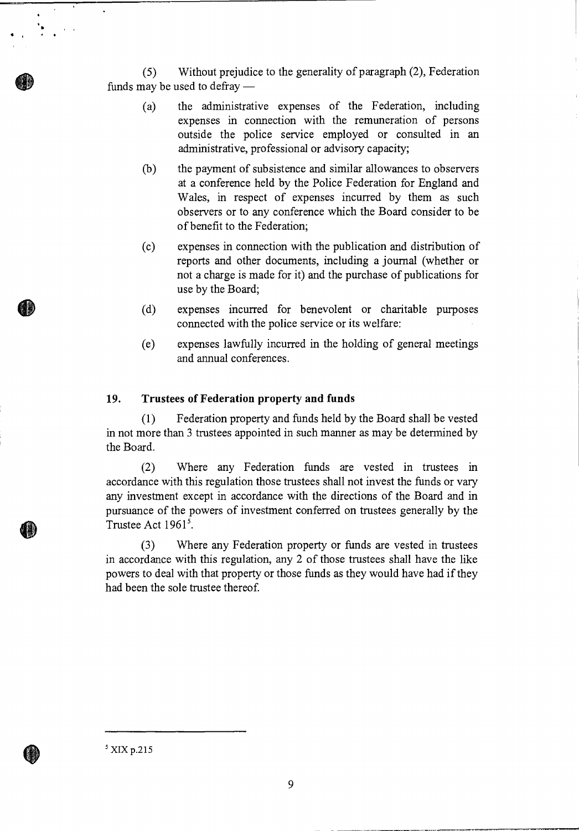(5) Without prejudice to the generality of paragraph (2), Federation funds may be used to defray —

- (a) the administrative expenses of the Federation, including expenses in connection with the remuneration of persons outside the police service employed or consulted in an administrative, professional or advisory capacity;
- (b) the payment of subsistence and similar allowances to observers at a conference held by the Police Federation for England and Wales, in respect of expenses incurred by them as such observers or to any conference which the Board consider to be of benefit to the Federation;
- (c) expenses in connection with the publication and distribution of reports and other documents, including a journal (whether or not a charge is made for it) and the purchase of publications for use by the Board;
- (d) expenses incurred for benevolent or charitable purposes connected with the police service or its welfare:
- (e) expenses lawfully incurred in the holding of general meetings and annual conferences.

### **19. Trustees of Federation property and funds**

(1) Federation property and funds held by the Board shall be vested in not more than 3 trustees appointed in such manner as may be determined by the Board.

(2) Where any Federation funds are vested in trustees in accordance with this regulation those trustees shall not invest the funds or vary any investment except in accordance with the directions of the Board and in pursuance of the powers of investment conferred on trustees generally by the Trustee Act  $1961<sup>5</sup>$ .

(3) Where any Federation property or funds are vested in trustees in accordance with this regulation, any 2 of those trustees shall have the like powers to deal with that property or those funds as they would have had if they had been the sole trustee thereof.

 $5$  XIX p.215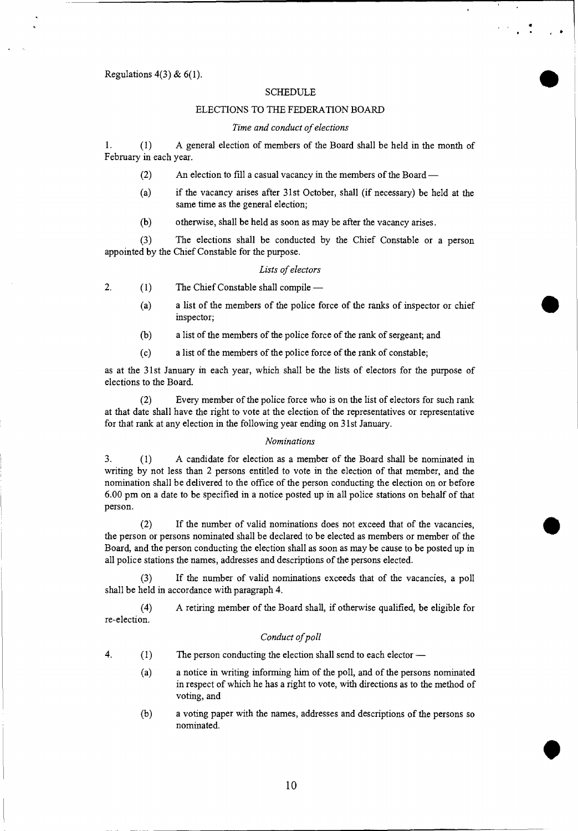#### Regulations  $4(3)$  &  $6(1)$ .

#### **SCHEDULE**

•

•

•

#### ELECTIONS TO THE FEDERATION BOARD

#### *Time and conduct of elections*

*1. (1)* A general election of members of the Board shall be held in the month of February in each year.

- (2) An election to fill a casual vacancy in the members of the Board —
- (a) if the vacancy arises after 31st October, shall (if necessary) be held at the same time as the general election;
- (b) otherwise, shall be held as soon as may be after the vacancy arises.

(3) The elections shall be conducted by the Chief Constable or a person appointed by the Chief Constable for the purpose.

#### *Lists of electors*

2. (1) The Chief Constable shall compile —

- (a) a list of the members of the police force of the ranks of inspector or chief inspector;
- (b) a list of the members of the police force of the rank of sergeant; and
- (c) a list of the members of the police force of the rank of constable;

as at the 31st January in each year, which shall be the lists of electors for the purpose of elections to the Board.

(2) Every member of the police force who is on the list of electors for such rank at that date shall have the right to vote at the election of the representatives or representative for that rank at any election in the following year ending on 31st January.

#### *Nominations*

3. (1) A candidate for election as a member of the Board shall be nominated in writing by not less than 2 persons entitled to vote in the election of that member, and the nomination shall be delivered to the office of the person conducting the election on or before 6.00 pm on a date to be specified in a notice posted up in all police stations on behalf of that person.

(2) If the number of valid nominations does not exceed that of the vacancies, the person or persons nominated shall be declared to be elected as members or member of the Board, and the person conducting the election shall as soon as may be cause to be posted up in all police stations the names, addresses and descriptions of the persons elected.

(3) If the number of valid nominations exceeds that of the vacancies, a poll shall be held in accordance with paragraph 4.

(4) A retiring member of the Board shall, if otherwise qualified, be eligible for re-election.

#### *Conduct of poll*

- 4. (1) The person conducting the election shall send to each elector
	- (a) a notice in writing informing him of the poll, and of the persons nominated in respect of which he has a right to vote, with directions as to the method of voting, and
	- (b) a voting paper with the names, addresses and descriptions of the persons so nominated.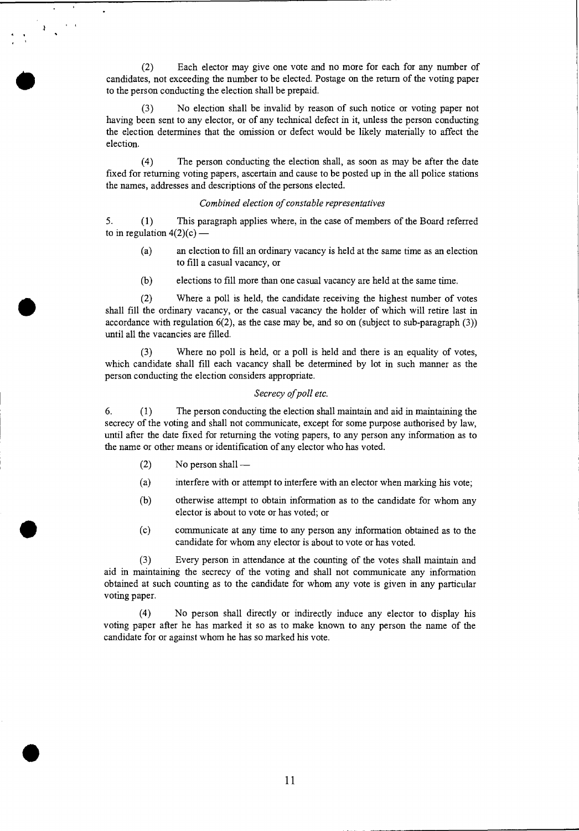(2) Each elector may give one vote and no more for each for any number of candidates, not exceeding the number to be elected. Postage on the return of the voting paper to the person conducting the election shall be prepaid.

No election shall be invalid by reason of such notice or voting paper not having been sent to any elector, or of any technical defect in it, unless the person conducting the election determines that the omission or defect would be likely materially to affect the election.

(4) The person conducting the election shall, as soon as may be after the date fixed for returning voting papers, ascertain and cause to be posted up in the all police stations the names, addresses and descriptions of the persons elected.

#### *Combined election of constable representatives*

*5. (1)* This paragraph applies where, in the case of members of the Board referred to in regulation  $4(2)(c)$  —

- (a) an election to fill an ordinary vacancy is held at the same time as an election to fill a casual vacancy, or
- (b) elections to fill more than one casual vacancy are held at the same time.

(2) Where a poll is held, the candidate receiving the highest number of votes shall fill the ordinary vacancy, or the casual vacancy the holder of which will retire last in accordance with regulation  $6(2)$ , as the case may be, and so on (subject to sub-paragraph  $(3)$ ) until all the vacancies are filled.

(3) Where no poll is held, or a poll is held and there is an equality of votes, which candidate shall fill each vacancy shall be determined by lot in such manner as the person conducting the election considers appropriate.

#### *Secrecy of poll etc.*

6. (1) The person conducting the election shall maintain and aid in maintaining the secrecy of the voting and shall not communicate, except for some purpose authorised by law, until after the date fixed for returning the voting papers, to any person any information as to the name or other means or identification of any elector who has voted.

(2) No person shall —

•

- (a) interfere with or attempt to interfere with an elector when marking his vote;
- (b) otherwise attempt to obtain information as to the candidate for whom any elector is about to vote or has voted; or
- (c) communicate at any time to any person any information obtained as to the candidate for whom any elector is about to vote or has voted.

(3 ) Every person in attendance at the counting of the votes shall maintain and aid in maintaining the secrecy of the voting and shall not communicate any information obtained at such counting as to the candidate for whom any vote is given in any particular voting paper.

(4) No person shall directly or indirectly induce any elector to display his voting paper after he has marked it so as to make known to any person the name of the candidate for or against whom he has so marked his vote.